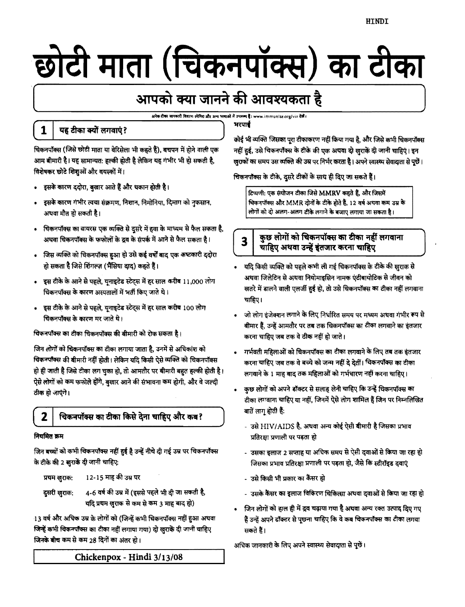# छोटी माता (चिकनपॉक्स) का टीका

# आपको क्या जानने की आवश्यकता है

.<br>अनेक टीका जानकारी विवरण स्पेनिश और अन्य भाषाओं में उपलब्द है। www.immunize.org/vis देखें।

भरपार्ब

# यह टीका क्यों लगवाएं?

1

चिकनपॉक्स (जिसे छोटी माता या वेरिसेला भी कहते हैं), बचपन में होने वाली एक आम बीमारी है। यह सामान्यत: हल्की होती है लेकिन यह गंभीर भी हो सकती है, विशेषकर छोटे शिशुओं और वयस्कों में।

- इसके कारण ददोरा, बुखार आते हैं और थकान होती है।  $\bullet$
- इसके कारण गंभीर त्वचा संक्रमण, निशान, निमोनिया, दिमाग को नुकसान, अथवा मौत हो सकती है।
- चिकनपॉक्स का वायरस एक व्यक्ति से दुसरे में हवा के माध्यम से फैल सकता है, अथवा चिकनपॉक्स के फफोलों के द्रव के संपर्क में आने से फैल सकता है।
- जिस व्यक्ति को चिकनपॉक्स हुआ हो उसे कई वर्षों बाद एक कष्टकारी ददोरा हो सकता है जिसे शिंगल्ज़ (भैंसिया दाद) कहते हैं।
- इस टीके के आने से पहले, यूनाइटेड स्टेट्स में हर साल करीब 11,000 लोग चिकनपॉक्स के कारण अस्पतालों में भर्ती किए जाते थे।
- इस टीके के आने से पहले, यूनाइटेड स्टेट्स में हर साल करीब 100 लोग चिकनपॉक्स के कारण मर जाते थे।

चिकनपॉक्स का टीका चिकनपॉक्स की बीमारी को रोक सकता है।

जिन लोगों को चिकनपॉक्स का टीका लगाया जाता है, उनमें से अधिकांश को विकनपॉक्स की बीमारी नहीं होती। लेकिन यदि किसी ऐसे व्यक्ति को चिकनपॉक्स हो ही जाती है जिसे टीका लग चुका हो, तो आमतौर पर बीमारी बहुत हल्की होती है। ऐसे लोगों को कम फफोले होंगे, बुखार आने की संभावना कम होगी, और वे जल्दी ठीक हो जाएंगे।

#### 2 चिकनपॉक्स का टीका किसे देना चाहिए और कब?

#### नियमित क्रम

जिन बच्चों को कभी चिकनपॉक्स नहीं हुई है उन्हें नीचे दी गई उम्र पर चिकनपॉक्स के टीके की 2 सुराकें दी जानी चाहिए:

12-15 माह की उम्र पर प्रथम खुराक: 4-6 वर्ष की उम्र में (इससे पहले भी दी जा सकती है, दुसरी खुराक: यदि प्रथम खुराक से कम से कम 3 माह बाद हो)

13 वर्ष और अधिक उम्र के लोगों को (जिन्हें कभी चिकनपॉक्स नहीं हुआ अथवा जिन्हें कभी चिकनपॉक्स का टीका नहीं लगाया गया) दो खुराकें दी जानी चाहिए जिनके बीच कम से कम 28 दिनों का अंतर हो।

कोई भी व्यक्ति जिसका पूरा टीकाकरण नहीं किया गया है, और जिसे कभी चिकनपॉक्स नहीं हुई, उसे चिकनपॉक्स के टीके की एक अथवा दो खुराकें दी जानी चाहिएं। इन (बुराकों का समय उस व्यक्ति की उम्र पर निर्भर करता है। अपने स्वास्थ्य सेवादाता से पूछें।

चिकनपॉक्स के टीके, दुसरे टीकों के साथ ही दिए जा सकते हैं।

टिप्पणी: एक संयोजन टीका जिसे MMRV कहते हैं, और जिसमें चिकनपॉक्स और MMR दोनों के टीके होते हैं, 12 वर्ष अथवा कम उम्र के लोगों को दो अलग-अलग टीके लगाने के बजाए लगाया जा सकता है।

#### कुछ लोगों को चिकनपॉक्स का टीका नहीं लगवाना  $\overline{\mathbf{3}}$ चाहिए अथवा उन्हें इंतजार करना चाहिए

- यदि किसी व्यक्ति को पहले कभी ली गई चिकनपॉक्स के टीके की ख़राक से अथवा जिलेटिन से अथवा नियोमाइसिन नामक एंटीबायोटिक से जीवन को खतरे में डालने वाली एलर्जी हुई हो, तो उसे चिकनपॉक्स का टीका नहीं लगवाना चाहिए।
- जो लोग इंजेक्शन लगाने के लिए निर्धारित समय पर मध्यम अथवा गंभीर रूप से बीमार हैं, उन्हें आमतौर पर तब तक चिकनपॉक्स का टीका लगवाने का इंतजार करना चाहिए जब तक वे ठीक नहीं हो जाते।
- गर्भवती महिलाओं को चिकनपॉक्स का टीका लगवाने के लिए तब तक इंतजार करना चाहिए जब तक वे बच्चे को जन्म नहीं दे देतीं। चिकनपॉक्स का टीका लगवाने के 1 माह बाद तक महिलाओं को गर्भधारण नहीं करना चाहिए।
- कुछ लोगों को अपने डॉक्टर से सलाह लेनी चाहिए कि उन्हें चिकनपॉक्स का टीका लगवाना चाहिए या नहीं, जिनमें ऐसे लोग शामिल हैं जिन पर निम्नलिखित बातें लागू होती हैं:
	- उसे HIV/AIDS है, अथवा अन्य कोई ऐसी बीमारी है जिसका प्रभाव प्रतिरक्षा प्रणाली पर पड़ता हो
	- उसका इलाज 2 सप्ताह या अधिक समय से ऐसी दवाओं से किया जा रहा हो जिसका प्रभाव प्रतिरक्षा प्रणाली पर पड़ता हो, जैसे कि स्टीरॉइड दवाएं
	- उसे किसी भी प्रकार का कैंसर हो
	- उसके कैंसर का इलाज विकिरण चिकित्सा अथवा दवाओं से किया जा रहा हो
- जिन लोगों को हाल ही में द्रव चढ़ाया गया है अथवा अन्य रक्त उत्पाद दिए गए हैं उन्हें अपने डॉक्टर से पूछना चाहिए कि वे कब चिकनपॉक्स का टीका लगवा सकते हैं।

अधिक जानकारी के लिए अपने स्वास्थ्य सेवादाता से पुछें।

Chickenpox - Hindi 3/13/08